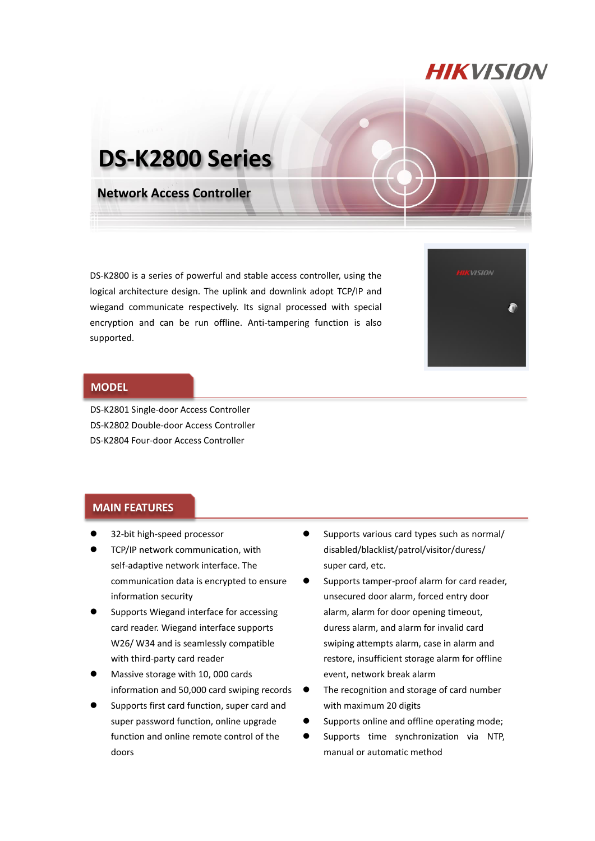## **HIKVISION**

# **DS-K2800 Series**

**Network Access Controller**

DS-K2800 is a series of powerful and stable access controller, using the logical architecture design. The uplink and downlink adopt TCP/IP and wiegand communicate respectively. Its signal processed with special encryption and can be run offline. Anti-tampering function is also supported.

| <b>HIKVISION</b> |  |
|------------------|--|
|                  |  |
|                  |  |
|                  |  |

#### **MODEL**

DS-K2801 Single-door Access Controller DS-K2802 Double-door Access Controller DS-K2804 Four-door Access Controller

#### **MAIN FEATURES**

- 32-bit high-speed processor
- TCP/IP network communication, with self-adaptive network interface. The communication data is encrypted to ensure information security
- Supports Wiegand interface for accessing card reader. Wiegand interface supports W26/ W34 and is seamlessly compatible with third-party card reader
- Massive storage with 10, 000 cards information and 50,000 card swiping records
- Supports first card function, super card and super password function, online upgrade function and online remote control of the doors
- Supports various card types such as normal/ disabled/blacklist/patrol/visitor/duress/ super card, etc.
- Supports tamper-proof alarm for card reader, unsecured door alarm, forced entry door alarm, alarm for door opening timeout, duress alarm, and alarm for invalid card swiping attempts alarm, case in alarm and restore, insufficient storage alarm for offline event, network break alarm
- The recognition and storage of card number with maximum 20 digits
- Supports online and offline operating mode;
- **•** Supports time synchronization via NTP, manual or automatic method